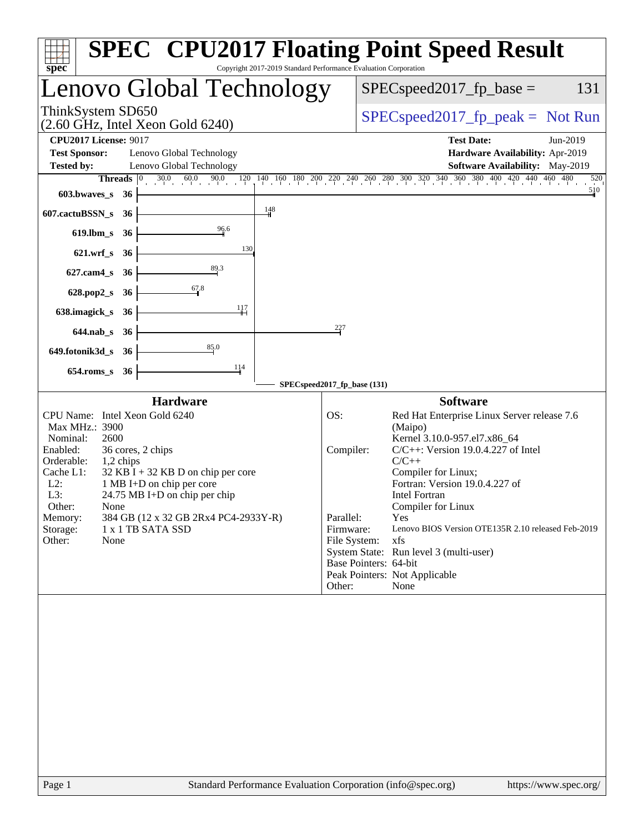| <b>SPEC<sup>®</sup> CPU2017 Floating Point Speed Result</b><br>Copyright 2017-2019 Standard Performance Evaluation Corporation<br>$spec^*$                                                                                                                                                                                                                                                                                |                                                                                                                                                                                                                                                                                                                                                                                                                                                                                                                              |
|---------------------------------------------------------------------------------------------------------------------------------------------------------------------------------------------------------------------------------------------------------------------------------------------------------------------------------------------------------------------------------------------------------------------------|------------------------------------------------------------------------------------------------------------------------------------------------------------------------------------------------------------------------------------------------------------------------------------------------------------------------------------------------------------------------------------------------------------------------------------------------------------------------------------------------------------------------------|
| Lenovo Global Technology                                                                                                                                                                                                                                                                                                                                                                                                  | $SPEC speed2017_fp\_base =$<br>131                                                                                                                                                                                                                                                                                                                                                                                                                                                                                           |
| ThinkSystem SD650<br>$(2.60$ GHz, Intel Xeon Gold 6240)                                                                                                                                                                                                                                                                                                                                                                   | $SPEC speed2017_fp\_peak = Not Run$                                                                                                                                                                                                                                                                                                                                                                                                                                                                                          |
| <b>CPU2017 License: 9017</b><br><b>Test Sponsor:</b><br>Lenovo Global Technology<br>Lenovo Global Technology<br><b>Tested by:</b><br>603.bwaves_s<br>- 36<br>$\frac{148}{1}$<br>607.cactuBSSN_s<br>36<br>96.6<br>$619$ .lbm_s<br>- 36<br>130<br>$621.wrf$ <sub>S</sub><br>36                                                                                                                                              | <b>Test Date:</b><br>Jun-2019<br>Hardware Availability: Apr-2019<br>Software Availability: May-2019<br>Threads 0 30.0 60.0 90.0 120 140 160 180 200 220 240 260 280 300 320 340 360 380 400 420 440 460 480<br>520<br>510                                                                                                                                                                                                                                                                                                    |
| $627$ .cam $4$ <sub>S</sub><br>36<br>67.8<br>628.pop2_s<br>36<br>$\frac{117}{11}$<br>638.imagick_s<br>36<br>$644$ .nab_s<br>- 36<br>85.0<br>649.fotonik3d_s 36<br>114<br>654.roms_s 36                                                                                                                                                                                                                                    | 227<br>SPECspeed2017_fp_base (131)                                                                                                                                                                                                                                                                                                                                                                                                                                                                                           |
| <b>Hardware</b><br>CPU Name: Intel Xeon Gold 6240<br>Max MHz.: 3900<br>Nominal:<br>2600<br>Enabled:<br>36 cores, 2 chips<br>Orderable:<br>1,2 chips<br>Cache L1:<br>$32$ KB I + 32 KB D on chip per core<br>1 MB I+D on chip per core<br>$L2$ :<br>L3:<br>$24.75 \text{ MB I+D}$ on chip per chip<br>Other:<br>None<br>384 GB (12 x 32 GB 2Rx4 PC4-2933Y-R)<br>Memory:<br>Storage:<br>1 x 1 TB SATA SSD<br>Other:<br>None | <b>Software</b><br>OS:<br>Red Hat Enterprise Linux Server release 7.6<br>(Maipo)<br>Kernel 3.10.0-957.el7.x86_64<br>$C/C++$ : Version 19.0.4.227 of Intel<br>Compiler:<br>$C/C++$<br>Compiler for Linux;<br>Fortran: Version 19.0.4.227 of<br><b>Intel Fortran</b><br>Compiler for Linux<br>Parallel:<br>Yes<br>Lenovo BIOS Version OTE135R 2.10 released Feb-2019<br>Firmware:<br>xfs<br>File System:<br>System State: Run level 3 (multi-user)<br>Base Pointers: 64-bit<br>Peak Pointers: Not Applicable<br>Other:<br>None |
|                                                                                                                                                                                                                                                                                                                                                                                                                           |                                                                                                                                                                                                                                                                                                                                                                                                                                                                                                                              |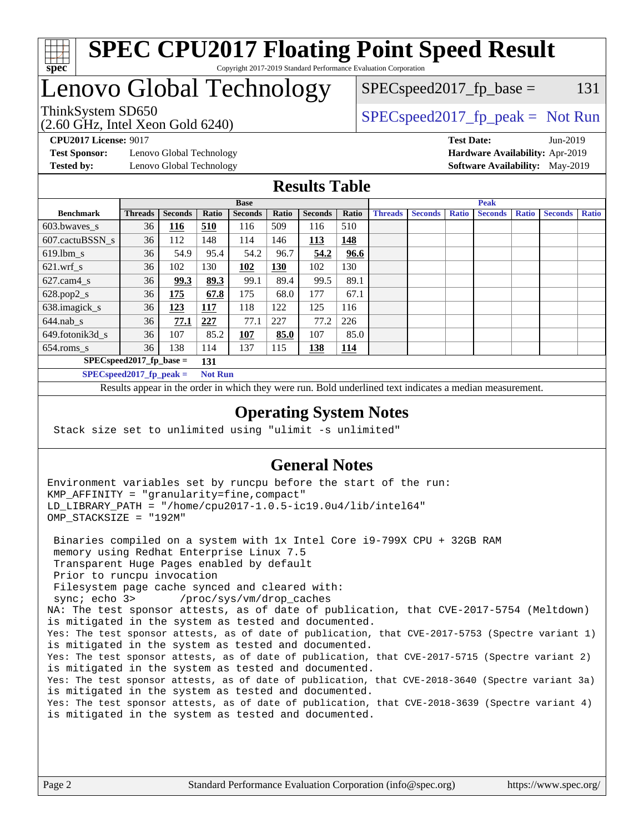

#### **[SPEC CPU2017 Floating Point Speed Result](http://www.spec.org/auto/cpu2017/Docs/result-fields.html#SPECCPU2017FloatingPointSpeedResult)** Copyright 2017-2019 Standard Performance Evaluation Corporation

## Lenovo Global Technology

 $SPEC speed2017_f p\_base = 131$ 

(2.60 GHz, Intel Xeon Gold 6240)

ThinkSystem SD650  $SPEC speed2017$  [p\_peak = Not Run

**[Test Sponsor:](http://www.spec.org/auto/cpu2017/Docs/result-fields.html#TestSponsor)** Lenovo Global Technology **[Hardware Availability:](http://www.spec.org/auto/cpu2017/Docs/result-fields.html#HardwareAvailability)** Apr-2019 **[Tested by:](http://www.spec.org/auto/cpu2017/Docs/result-fields.html#Testedby)** Lenovo Global Technology **[Software Availability:](http://www.spec.org/auto/cpu2017/Docs/result-fields.html#SoftwareAvailability)** May-2019

**[CPU2017 License:](http://www.spec.org/auto/cpu2017/Docs/result-fields.html#CPU2017License)** 9017 **[Test Date:](http://www.spec.org/auto/cpu2017/Docs/result-fields.html#TestDate)** Jun-2019

### **[Results Table](http://www.spec.org/auto/cpu2017/Docs/result-fields.html#ResultsTable)**

|                                   | <b>Base</b>    |                |                |                |       | <b>Peak</b>    |            |                |                |              |                |              |                |              |
|-----------------------------------|----------------|----------------|----------------|----------------|-------|----------------|------------|----------------|----------------|--------------|----------------|--------------|----------------|--------------|
| <b>Benchmark</b>                  | <b>Threads</b> | <b>Seconds</b> | Ratio          | <b>Seconds</b> | Ratio | <b>Seconds</b> | Ratio      | <b>Threads</b> | <b>Seconds</b> | <b>Ratio</b> | <b>Seconds</b> | <b>Ratio</b> | <b>Seconds</b> | <b>Ratio</b> |
| 603.bwayes s                      | 36             | 116            | 510            | 116            | 509   | 116            | 510        |                |                |              |                |              |                |              |
| 607.cactuBSSN s                   | 36             | 112            | 148            | 114            | 146   | 113            | 148        |                |                |              |                |              |                |              |
| $619.$ lbm s                      | 36             | 54.9           | 95.4           | 54.2           | 96.7  | 54.2           | 96.6       |                |                |              |                |              |                |              |
| $621.wrf$ s                       | 36             | 102            | 130            | 102            | 130   | 102            | 130        |                |                |              |                |              |                |              |
| $627$ .cam4 s                     | 36             | 99.3           | 89.3           | 99.1           | 89.4  | 99.5           | 89.1       |                |                |              |                |              |                |              |
| $628.pop2_s$                      | 36             | 175            | 67.8           | 175            | 68.0  | 177            | 67.1       |                |                |              |                |              |                |              |
| 638.imagick_s                     | 36             | 123            | 117            | 118            | 122   | 125            | 116        |                |                |              |                |              |                |              |
| $644$ .nab s                      | 36             | 77.1           | 227            | 77.1           | 227   | 77.2           | 226        |                |                |              |                |              |                |              |
| 649.fotonik3d s                   | 36             | 107            | 85.2           | <u>107</u>     | 85.0  | 107            | 85.0       |                |                |              |                |              |                |              |
| $654$ .roms s                     | 36             | 138            | 114            | 137            | 115   | 138            | <u>114</u> |                |                |              |                |              |                |              |
| $SPEC speed2017$ fp base =<br>131 |                |                |                |                |       |                |            |                |                |              |                |              |                |              |
| SPECspeed 2017 fp peak $=$        |                |                | <b>Not Run</b> |                |       |                |            |                |                |              |                |              |                |              |

Results appear in the [order in which they were run.](http://www.spec.org/auto/cpu2017/Docs/result-fields.html#RunOrder) Bold underlined text [indicates a median measurement](http://www.spec.org/auto/cpu2017/Docs/result-fields.html#Median).

#### **[Operating System Notes](http://www.spec.org/auto/cpu2017/Docs/result-fields.html#OperatingSystemNotes)**

Stack size set to unlimited using "ulimit -s unlimited"

#### **[General Notes](http://www.spec.org/auto/cpu2017/Docs/result-fields.html#GeneralNotes)**

Environment variables set by runcpu before the start of the run: KMP\_AFFINITY = "granularity=fine,compact" LD\_LIBRARY\_PATH = "/home/cpu2017-1.0.5-ic19.0u4/lib/intel64" OMP\_STACKSIZE = "192M"

 Binaries compiled on a system with 1x Intel Core i9-799X CPU + 32GB RAM memory using Redhat Enterprise Linux 7.5 Transparent Huge Pages enabled by default Prior to runcpu invocation Filesystem page cache synced and cleared with: sync; echo 3> /proc/sys/vm/drop\_caches NA: The test sponsor attests, as of date of publication, that CVE-2017-5754 (Meltdown) is mitigated in the system as tested and documented. Yes: The test sponsor attests, as of date of publication, that CVE-2017-5753 (Spectre variant 1) is mitigated in the system as tested and documented. Yes: The test sponsor attests, as of date of publication, that CVE-2017-5715 (Spectre variant 2) is mitigated in the system as tested and documented. Yes: The test sponsor attests, as of date of publication, that CVE-2018-3640 (Spectre variant 3a) is mitigated in the system as tested and documented. Yes: The test sponsor attests, as of date of publication, that CVE-2018-3639 (Spectre variant 4) is mitigated in the system as tested and documented.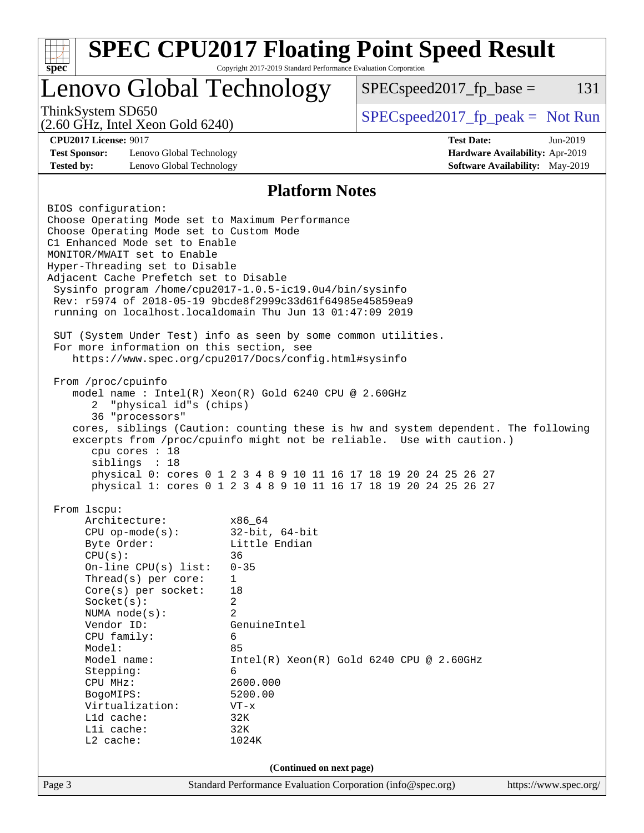|                                                                                                                       | Lenovo Global Technology | $SPEC speed2017_fp\_base =$                                                                                                          | 131        |
|-----------------------------------------------------------------------------------------------------------------------|--------------------------|--------------------------------------------------------------------------------------------------------------------------------------|------------|
| ThinkSystem SD650                                                                                                     |                          | $SPEC speed2017_fp\_peak = Not Run$                                                                                                  |            |
| $(2.60$ GHz, Intel Xeon Gold $6240)$                                                                                  |                          |                                                                                                                                      |            |
| <b>CPU2017 License: 9017</b><br><b>Test Sponsor:</b><br>Lenovo Global Technology                                      |                          | <b>Test Date:</b><br>Hardware Availability: Apr-2019                                                                                 | $Jun-2019$ |
| <b>Tested by:</b><br>Lenovo Global Technology                                                                         |                          | <b>Software Availability:</b> May-2019                                                                                               |            |
|                                                                                                                       | <b>Platform Notes</b>    |                                                                                                                                      |            |
| BIOS configuration:                                                                                                   |                          |                                                                                                                                      |            |
| Choose Operating Mode set to Maximum Performance                                                                      |                          |                                                                                                                                      |            |
| Choose Operating Mode set to Custom Mode<br>C1 Enhanced Mode set to Enable                                            |                          |                                                                                                                                      |            |
| MONITOR/MWAIT set to Enable                                                                                           |                          |                                                                                                                                      |            |
| Hyper-Threading set to Disable                                                                                        |                          |                                                                                                                                      |            |
| Adjacent Cache Prefetch set to Disable                                                                                |                          |                                                                                                                                      |            |
| Sysinfo program /home/cpu2017-1.0.5-ic19.0u4/bin/sysinfo<br>Rev: r5974 of 2018-05-19 9bcde8f2999c33d61f64985e45859ea9 |                          |                                                                                                                                      |            |
| running on localhost.localdomain Thu Jun 13 01:47:09 2019                                                             |                          |                                                                                                                                      |            |
|                                                                                                                       |                          |                                                                                                                                      |            |
| SUT (System Under Test) info as seen by some common utilities.                                                        |                          |                                                                                                                                      |            |
| For more information on this section, see<br>https://www.spec.org/cpu2017/Docs/config.html#sysinfo                    |                          |                                                                                                                                      |            |
|                                                                                                                       |                          |                                                                                                                                      |            |
| From /proc/cpuinfo                                                                                                    |                          |                                                                                                                                      |            |
| model name : Intel(R) Xeon(R) Gold 6240 CPU @ 2.60GHz                                                                 |                          |                                                                                                                                      |            |
| "physical id"s (chips)<br>2<br>36 "processors"                                                                        |                          |                                                                                                                                      |            |
|                                                                                                                       |                          | cores, siblings (Caution: counting these is hw and system dependent. The following                                                   |            |
|                                                                                                                       |                          | excerpts from /proc/cpuinfo might not be reliable. Use with caution.)                                                                |            |
| cpu cores $: 18$                                                                                                      |                          |                                                                                                                                      |            |
| siblings : 18                                                                                                         |                          |                                                                                                                                      |            |
|                                                                                                                       |                          | physical 0: cores 0 1 2 3 4 8 9 10 11 16 17 18 19 20 24 25 26 27<br>physical 1: cores 0 1 2 3 4 8 9 10 11 16 17 18 19 20 24 25 26 27 |            |
|                                                                                                                       |                          |                                                                                                                                      |            |
| From lscpu:                                                                                                           |                          |                                                                                                                                      |            |
|                                                                                                                       |                          |                                                                                                                                      |            |
| Architecture:                                                                                                         | x86_64                   |                                                                                                                                      |            |
| $CPU$ op-mode( $s$ ):                                                                                                 | $32$ -bit, $64$ -bit     |                                                                                                                                      |            |
| Byte Order:<br>CPU(s):                                                                                                | Little Endian<br>36      |                                                                                                                                      |            |
| On-line CPU(s) list:                                                                                                  | $0 - 35$                 |                                                                                                                                      |            |
| Thread(s) per core:                                                                                                   | 1                        |                                                                                                                                      |            |
| $Core(s)$ per socket:                                                                                                 | 18                       |                                                                                                                                      |            |
| Socket(s):<br>NUMA node(s):                                                                                           | 2<br>$\overline{2}$      |                                                                                                                                      |            |
| Vendor ID:                                                                                                            | GenuineIntel             |                                                                                                                                      |            |
| CPU family:                                                                                                           | 6                        |                                                                                                                                      |            |
| Model:                                                                                                                | 85                       |                                                                                                                                      |            |
| Model name:                                                                                                           | 6                        | $Intel(R) Xeon(R) Gold 6240 CPU @ 2.60GHz$                                                                                           |            |
| Stepping:<br>CPU MHz:                                                                                                 | 2600.000                 |                                                                                                                                      |            |
| BogoMIPS:                                                                                                             | 5200.00                  |                                                                                                                                      |            |
| Virtualization:                                                                                                       | $VT - x$                 |                                                                                                                                      |            |
| Lld cache:                                                                                                            | 32K                      |                                                                                                                                      |            |
| Lli cache:<br>$L2$ cache:                                                                                             | 32K<br>1024K             |                                                                                                                                      |            |
|                                                                                                                       | (Continued on next page) |                                                                                                                                      |            |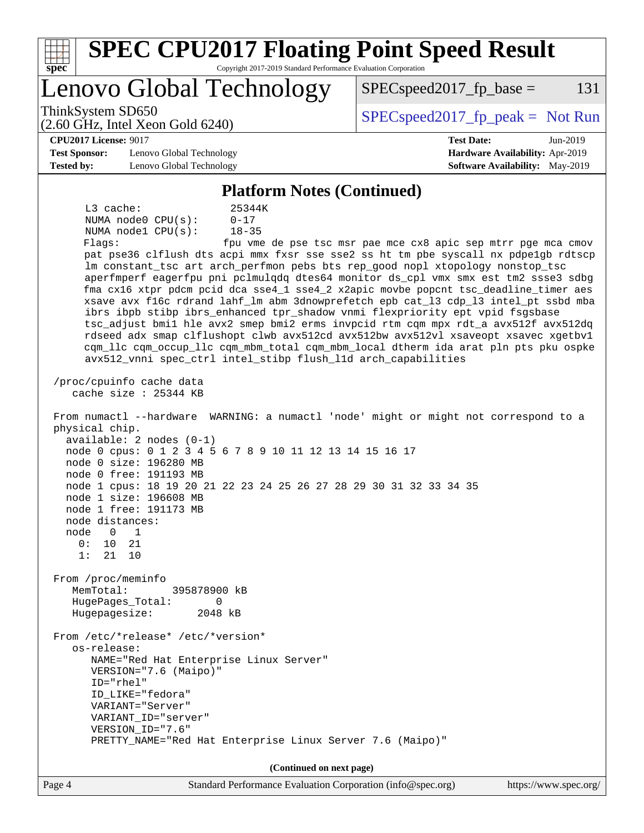| <b>SPEC CPU2017 Floating Point Speed Result</b><br>Spec<br>Copyright 2017-2019 Standard Performance Evaluation Corporation                                                                                                                                                                                                                                                                                                                                                                                                                                                                                                                                                                                                                                                                                                                                                                                                                                                                                                                                                                                                                                                                                                                                                                                                                                                                                                                                                                                                                                                                                                                                                                                                                                                                                                                                                          |                                                                  |
|-------------------------------------------------------------------------------------------------------------------------------------------------------------------------------------------------------------------------------------------------------------------------------------------------------------------------------------------------------------------------------------------------------------------------------------------------------------------------------------------------------------------------------------------------------------------------------------------------------------------------------------------------------------------------------------------------------------------------------------------------------------------------------------------------------------------------------------------------------------------------------------------------------------------------------------------------------------------------------------------------------------------------------------------------------------------------------------------------------------------------------------------------------------------------------------------------------------------------------------------------------------------------------------------------------------------------------------------------------------------------------------------------------------------------------------------------------------------------------------------------------------------------------------------------------------------------------------------------------------------------------------------------------------------------------------------------------------------------------------------------------------------------------------------------------------------------------------------------------------------------------------|------------------------------------------------------------------|
| Lenovo Global Technology                                                                                                                                                                                                                                                                                                                                                                                                                                                                                                                                                                                                                                                                                                                                                                                                                                                                                                                                                                                                                                                                                                                                                                                                                                                                                                                                                                                                                                                                                                                                                                                                                                                                                                                                                                                                                                                            | $SPEC speed2017fr base =$<br>131                                 |
| ThinkSystem SD650<br>$(2.60 \text{ GHz}, \text{Intel Xeon Gold } 6240)$                                                                                                                                                                                                                                                                                                                                                                                                                                                                                                                                                                                                                                                                                                                                                                                                                                                                                                                                                                                                                                                                                                                                                                                                                                                                                                                                                                                                                                                                                                                                                                                                                                                                                                                                                                                                             | $SPEC speed2017fr peak = Not Run$                                |
| <b>CPU2017 License: 9017</b><br><b>Test Sponsor:</b><br>Lenovo Global Technology                                                                                                                                                                                                                                                                                                                                                                                                                                                                                                                                                                                                                                                                                                                                                                                                                                                                                                                                                                                                                                                                                                                                                                                                                                                                                                                                                                                                                                                                                                                                                                                                                                                                                                                                                                                                    | <b>Test Date:</b><br>Jun-2019<br>Hardware Availability: Apr-2019 |
| <b>Tested by:</b><br>Lenovo Global Technology                                                                                                                                                                                                                                                                                                                                                                                                                                                                                                                                                                                                                                                                                                                                                                                                                                                                                                                                                                                                                                                                                                                                                                                                                                                                                                                                                                                                                                                                                                                                                                                                                                                                                                                                                                                                                                       | Software Availability: May-2019                                  |
| <b>Platform Notes (Continued)</b>                                                                                                                                                                                                                                                                                                                                                                                                                                                                                                                                                                                                                                                                                                                                                                                                                                                                                                                                                                                                                                                                                                                                                                                                                                                                                                                                                                                                                                                                                                                                                                                                                                                                                                                                                                                                                                                   |                                                                  |
| $L3$ cache:<br>25344K<br>NUMA node0 CPU(s):<br>$0 - 17$<br>NUMA nodel CPU(s):<br>$18 - 35$<br>Flaqs:<br>pat pse36 clflush dts acpi mmx fxsr sse sse2 ss ht tm pbe syscall nx pdpelgb rdtscp<br>lm constant_tsc art arch_perfmon pebs bts rep_good nopl xtopology nonstop_tsc<br>aperfmperf eagerfpu pni pclmulqdq dtes64 monitor ds_cpl vmx smx est tm2 ssse3 sdbg<br>fma cx16 xtpr pdcm pcid dca sse4_1 sse4_2 x2apic movbe popcnt tsc_deadline_timer aes<br>xsave avx f16c rdrand lahf lm abm 3dnowprefetch epb cat 13 cdp 13 intel pt ssbd mba<br>ibrs ibpb stibp ibrs_enhanced tpr_shadow vnmi flexpriority ept vpid fsgsbase<br>tsc_adjust bmil hle avx2 smep bmi2 erms invpcid rtm cqm mpx rdt_a avx512f avx512dq<br>rdseed adx smap clflushopt clwb avx512cd avx512bw avx512vl xsaveopt xsavec xgetbvl<br>cqm_llc cqm_occup_llc cqm_mbm_total cqm_mbm_local dtherm ida arat pln pts pku ospke<br>avx512_vnni spec_ctrl intel_stibp flush_lld arch_capabilities<br>/proc/cpuinfo cache data<br>cache size : 25344 KB<br>From numactl --hardware WARNING: a numactl 'node' might or might not correspond to a<br>physical chip.<br>$available: 2 nodes (0-1)$<br>node 0 cpus: 0 1 2 3 4 5 6 7 8 9 10 11 12 13 14 15 16 17<br>node 0 size: 196280 MB<br>node 0 free: 191193 MB<br>node 1 cpus: 18 19 20 21 22 23 24 25 26 27 28 29 30 31 32 33 34 35<br>node 1 size: 196608 MB<br>node 1 free: 191173 MB<br>node distances:<br>node<br>0<br>1<br>0 :<br>10<br>21<br>1:<br>21<br>10<br>From /proc/meminfo<br>MemTotal:<br>395878900 kB<br>HugePages_Total:<br>0<br>Hugepagesize:<br>2048 kB<br>From /etc/*release* /etc/*version*<br>os-release:<br>NAME="Red Hat Enterprise Linux Server"<br>VERSION="7.6 (Maipo)"<br>ID="rhel"<br>ID_LIKE="fedora"<br>VARIANT="Server"<br>VARIANT_ID="server"<br>VERSION_ID="7.6"<br>PRETTY_NAME="Red Hat Enterprise Linux Server 7.6 (Maipo)" | fpu vme de pse tsc msr pae mce cx8 apic sep mtrr pge mca cmov    |
| (Continued on next page)                                                                                                                                                                                                                                                                                                                                                                                                                                                                                                                                                                                                                                                                                                                                                                                                                                                                                                                                                                                                                                                                                                                                                                                                                                                                                                                                                                                                                                                                                                                                                                                                                                                                                                                                                                                                                                                            |                                                                  |
| Page 4<br>Standard Performance Evaluation Corporation (info@spec.org)                                                                                                                                                                                                                                                                                                                                                                                                                                                                                                                                                                                                                                                                                                                                                                                                                                                                                                                                                                                                                                                                                                                                                                                                                                                                                                                                                                                                                                                                                                                                                                                                                                                                                                                                                                                                               | https://www.spec.org/                                            |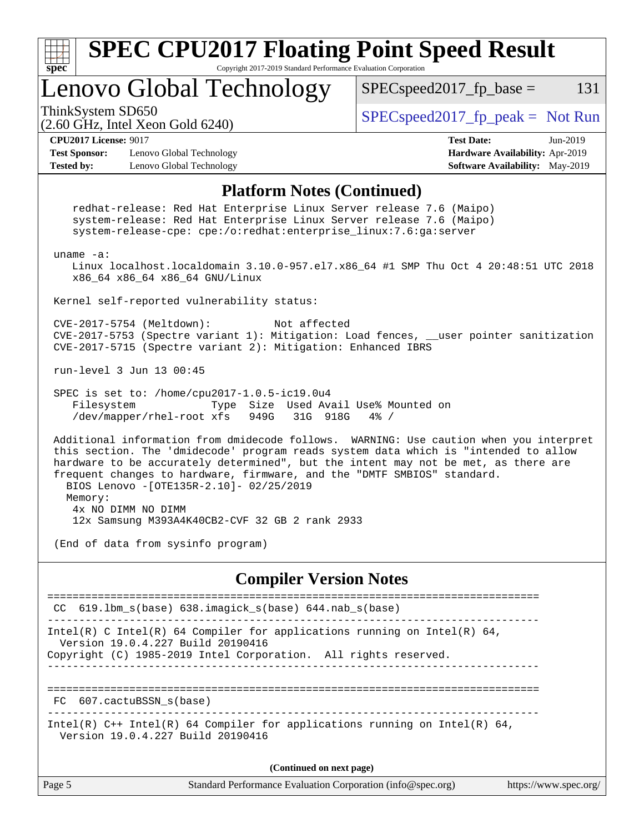

Version 19.0.4.227 Build 20190416

**(Continued on next page)**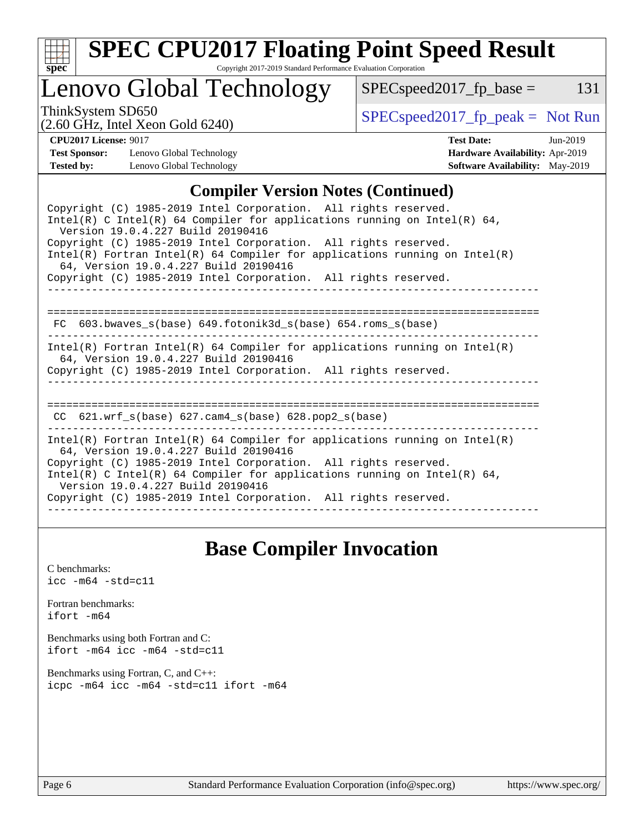

# **[SPEC CPU2017 Floating Point Speed Result](http://www.spec.org/auto/cpu2017/Docs/result-fields.html#SPECCPU2017FloatingPointSpeedResult)**

Copyright 2017-2019 Standard Performance Evaluation Corporation

## Lenovo Global Technology

 $SPECspeed2017_fp\_peak = Not Run$ 

 $SPEC speed2017_fp\_base = 131$ 

(2.60 GHz, Intel Xeon Gold 6240)

| <b>CPU2017 License: 9017</b> |                          | <b>Test Date:</b>                      | $Jun-2019$ |
|------------------------------|--------------------------|----------------------------------------|------------|
| <b>Test Sponsor:</b>         | Lenovo Global Technology | <b>Hardware Availability: Apr-2019</b> |            |
| <b>Tested by:</b>            | Lenovo Global Technology | <b>Software Availability:</b> May-2019 |            |

### **[Compiler Version Notes \(Continued\)](http://www.spec.org/auto/cpu2017/Docs/result-fields.html#CompilerVersionNotes)**

| Copyright (C) 1985-2019 Intel Corporation. All rights reserved.<br>Intel(R) C Intel(R) 64 Compiler for applications running on Intel(R) 64,<br>Version 19.0.4.227 Build 20190416                                                                                   |  |  |  |  |  |
|--------------------------------------------------------------------------------------------------------------------------------------------------------------------------------------------------------------------------------------------------------------------|--|--|--|--|--|
| Copyright (C) 1985-2019 Intel Corporation. All rights reserved.<br>Intel(R) Fortran Intel(R) 64 Compiler for applications running on Intel(R)                                                                                                                      |  |  |  |  |  |
| 64, Version 19.0.4.227 Build 20190416<br>Copyright (C) 1985-2019 Intel Corporation. All rights reserved.                                                                                                                                                           |  |  |  |  |  |
| FC 603.bwaves_s(base) 649.fotonik3d_s(base) 654.roms_s(base)                                                                                                                                                                                                       |  |  |  |  |  |
| $Intel(R)$ Fortran Intel(R) 64 Compiler for applications running on Intel(R)                                                                                                                                                                                       |  |  |  |  |  |
| 64, Version 19.0.4.227 Build 20190416<br>Copyright (C) 1985-2019 Intel Corporation. All rights reserved.                                                                                                                                                           |  |  |  |  |  |
| $CC$ 621.wrf_s(base) 627.cam4_s(base) 628.pop2_s(base)                                                                                                                                                                                                             |  |  |  |  |  |
| Intel(R) Fortran Intel(R) 64 Compiler for applications running on Intel(R)<br>64, Version 19.0.4.227 Build 20190416<br>Copyright (C) 1985-2019 Intel Corporation. All rights reserved.<br>Intel(R) C Intel(R) 64 Compiler for applications running on Intel(R) 64, |  |  |  |  |  |
| Version 19.0.4.227 Build 20190416<br>Copyright (C) 1985-2019 Intel Corporation. All rights reserved.                                                                                                                                                               |  |  |  |  |  |

## **[Base Compiler Invocation](http://www.spec.org/auto/cpu2017/Docs/result-fields.html#BaseCompilerInvocation)**

[C benchmarks](http://www.spec.org/auto/cpu2017/Docs/result-fields.html#Cbenchmarks): [icc -m64 -std=c11](http://www.spec.org/cpu2017/results/res2019q3/cpu2017-20190624-15480.flags.html#user_CCbase_intel_icc_64bit_c11_33ee0cdaae7deeeab2a9725423ba97205ce30f63b9926c2519791662299b76a0318f32ddfffdc46587804de3178b4f9328c46fa7c2b0cd779d7a61945c91cd35)

[Fortran benchmarks](http://www.spec.org/auto/cpu2017/Docs/result-fields.html#Fortranbenchmarks): [ifort -m64](http://www.spec.org/cpu2017/results/res2019q3/cpu2017-20190624-15480.flags.html#user_FCbase_intel_ifort_64bit_24f2bb282fbaeffd6157abe4f878425411749daecae9a33200eee2bee2fe76f3b89351d69a8130dd5949958ce389cf37ff59a95e7a40d588e8d3a57e0c3fd751)

[Benchmarks using both Fortran and C](http://www.spec.org/auto/cpu2017/Docs/result-fields.html#BenchmarksusingbothFortranandC): [ifort -m64](http://www.spec.org/cpu2017/results/res2019q3/cpu2017-20190624-15480.flags.html#user_CC_FCbase_intel_ifort_64bit_24f2bb282fbaeffd6157abe4f878425411749daecae9a33200eee2bee2fe76f3b89351d69a8130dd5949958ce389cf37ff59a95e7a40d588e8d3a57e0c3fd751) [icc -m64 -std=c11](http://www.spec.org/cpu2017/results/res2019q3/cpu2017-20190624-15480.flags.html#user_CC_FCbase_intel_icc_64bit_c11_33ee0cdaae7deeeab2a9725423ba97205ce30f63b9926c2519791662299b76a0318f32ddfffdc46587804de3178b4f9328c46fa7c2b0cd779d7a61945c91cd35)

[Benchmarks using Fortran, C, and C++:](http://www.spec.org/auto/cpu2017/Docs/result-fields.html#BenchmarksusingFortranCandCXX) [icpc -m64](http://www.spec.org/cpu2017/results/res2019q3/cpu2017-20190624-15480.flags.html#user_CC_CXX_FCbase_intel_icpc_64bit_4ecb2543ae3f1412ef961e0650ca070fec7b7afdcd6ed48761b84423119d1bf6bdf5cad15b44d48e7256388bc77273b966e5eb805aefd121eb22e9299b2ec9d9) [icc -m64 -std=c11](http://www.spec.org/cpu2017/results/res2019q3/cpu2017-20190624-15480.flags.html#user_CC_CXX_FCbase_intel_icc_64bit_c11_33ee0cdaae7deeeab2a9725423ba97205ce30f63b9926c2519791662299b76a0318f32ddfffdc46587804de3178b4f9328c46fa7c2b0cd779d7a61945c91cd35) [ifort -m64](http://www.spec.org/cpu2017/results/res2019q3/cpu2017-20190624-15480.flags.html#user_CC_CXX_FCbase_intel_ifort_64bit_24f2bb282fbaeffd6157abe4f878425411749daecae9a33200eee2bee2fe76f3b89351d69a8130dd5949958ce389cf37ff59a95e7a40d588e8d3a57e0c3fd751)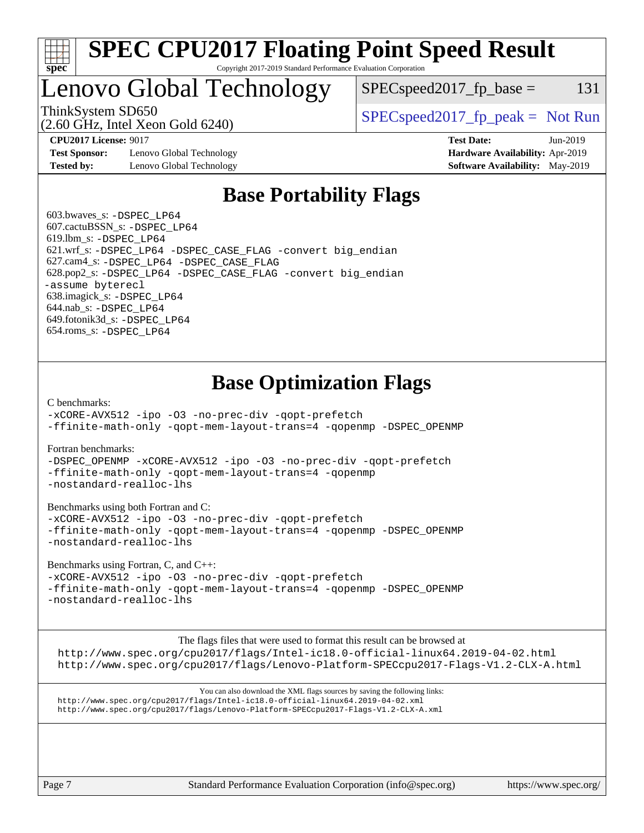

#### **[SPEC CPU2017 Floating Point Speed Result](http://www.spec.org/auto/cpu2017/Docs/result-fields.html#SPECCPU2017FloatingPointSpeedResult)** Copyright 2017-2019 Standard Performance Evaluation Corporation

## Lenovo Global Technology

 $SPEC speed2017_fp\_base = 131$ 

(2.60 GHz, Intel Xeon Gold 6240)

ThinkSystem SD650  $SPEC speed2017$  [p\_peak = Not Run

**[Test Sponsor:](http://www.spec.org/auto/cpu2017/Docs/result-fields.html#TestSponsor)** Lenovo Global Technology **[Hardware Availability:](http://www.spec.org/auto/cpu2017/Docs/result-fields.html#HardwareAvailability)** Apr-2019 **[Tested by:](http://www.spec.org/auto/cpu2017/Docs/result-fields.html#Testedby)** Lenovo Global Technology **[Software Availability:](http://www.spec.org/auto/cpu2017/Docs/result-fields.html#SoftwareAvailability)** May-2019

**[CPU2017 License:](http://www.spec.org/auto/cpu2017/Docs/result-fields.html#CPU2017License)** 9017 **[Test Date:](http://www.spec.org/auto/cpu2017/Docs/result-fields.html#TestDate)** Jun-2019

## **[Base Portability Flags](http://www.spec.org/auto/cpu2017/Docs/result-fields.html#BasePortabilityFlags)**

 603.bwaves\_s: [-DSPEC\\_LP64](http://www.spec.org/cpu2017/results/res2019q3/cpu2017-20190624-15480.flags.html#suite_basePORTABILITY603_bwaves_s_DSPEC_LP64) 607.cactuBSSN\_s: [-DSPEC\\_LP64](http://www.spec.org/cpu2017/results/res2019q3/cpu2017-20190624-15480.flags.html#suite_basePORTABILITY607_cactuBSSN_s_DSPEC_LP64) 619.lbm\_s: [-DSPEC\\_LP64](http://www.spec.org/cpu2017/results/res2019q3/cpu2017-20190624-15480.flags.html#suite_basePORTABILITY619_lbm_s_DSPEC_LP64) 621.wrf\_s: [-DSPEC\\_LP64](http://www.spec.org/cpu2017/results/res2019q3/cpu2017-20190624-15480.flags.html#suite_basePORTABILITY621_wrf_s_DSPEC_LP64) [-DSPEC\\_CASE\\_FLAG](http://www.spec.org/cpu2017/results/res2019q3/cpu2017-20190624-15480.flags.html#b621.wrf_s_baseCPORTABILITY_DSPEC_CASE_FLAG) [-convert big\\_endian](http://www.spec.org/cpu2017/results/res2019q3/cpu2017-20190624-15480.flags.html#user_baseFPORTABILITY621_wrf_s_convert_big_endian_c3194028bc08c63ac5d04de18c48ce6d347e4e562e8892b8bdbdc0214820426deb8554edfa529a3fb25a586e65a3d812c835984020483e7e73212c4d31a38223) 627.cam4\_s: [-DSPEC\\_LP64](http://www.spec.org/cpu2017/results/res2019q3/cpu2017-20190624-15480.flags.html#suite_basePORTABILITY627_cam4_s_DSPEC_LP64) [-DSPEC\\_CASE\\_FLAG](http://www.spec.org/cpu2017/results/res2019q3/cpu2017-20190624-15480.flags.html#b627.cam4_s_baseCPORTABILITY_DSPEC_CASE_FLAG) 628.pop2\_s: [-DSPEC\\_LP64](http://www.spec.org/cpu2017/results/res2019q3/cpu2017-20190624-15480.flags.html#suite_basePORTABILITY628_pop2_s_DSPEC_LP64) [-DSPEC\\_CASE\\_FLAG](http://www.spec.org/cpu2017/results/res2019q3/cpu2017-20190624-15480.flags.html#b628.pop2_s_baseCPORTABILITY_DSPEC_CASE_FLAG) [-convert big\\_endian](http://www.spec.org/cpu2017/results/res2019q3/cpu2017-20190624-15480.flags.html#user_baseFPORTABILITY628_pop2_s_convert_big_endian_c3194028bc08c63ac5d04de18c48ce6d347e4e562e8892b8bdbdc0214820426deb8554edfa529a3fb25a586e65a3d812c835984020483e7e73212c4d31a38223) [-assume byterecl](http://www.spec.org/cpu2017/results/res2019q3/cpu2017-20190624-15480.flags.html#user_baseFPORTABILITY628_pop2_s_assume_byterecl_7e47d18b9513cf18525430bbf0f2177aa9bf368bc7a059c09b2c06a34b53bd3447c950d3f8d6c70e3faf3a05c8557d66a5798b567902e8849adc142926523472) 638.imagick\_s: [-DSPEC\\_LP64](http://www.spec.org/cpu2017/results/res2019q3/cpu2017-20190624-15480.flags.html#suite_basePORTABILITY638_imagick_s_DSPEC_LP64) 644.nab\_s: [-DSPEC\\_LP64](http://www.spec.org/cpu2017/results/res2019q3/cpu2017-20190624-15480.flags.html#suite_basePORTABILITY644_nab_s_DSPEC_LP64) 649.fotonik3d\_s: [-DSPEC\\_LP64](http://www.spec.org/cpu2017/results/res2019q3/cpu2017-20190624-15480.flags.html#suite_basePORTABILITY649_fotonik3d_s_DSPEC_LP64) 654.roms\_s: [-DSPEC\\_LP64](http://www.spec.org/cpu2017/results/res2019q3/cpu2017-20190624-15480.flags.html#suite_basePORTABILITY654_roms_s_DSPEC_LP64)

## **[Base Optimization Flags](http://www.spec.org/auto/cpu2017/Docs/result-fields.html#BaseOptimizationFlags)**

[C benchmarks](http://www.spec.org/auto/cpu2017/Docs/result-fields.html#Cbenchmarks):

[-xCORE-AVX512](http://www.spec.org/cpu2017/results/res2019q3/cpu2017-20190624-15480.flags.html#user_CCbase_f-xCORE-AVX512) [-ipo](http://www.spec.org/cpu2017/results/res2019q3/cpu2017-20190624-15480.flags.html#user_CCbase_f-ipo) [-O3](http://www.spec.org/cpu2017/results/res2019q3/cpu2017-20190624-15480.flags.html#user_CCbase_f-O3) [-no-prec-div](http://www.spec.org/cpu2017/results/res2019q3/cpu2017-20190624-15480.flags.html#user_CCbase_f-no-prec-div) [-qopt-prefetch](http://www.spec.org/cpu2017/results/res2019q3/cpu2017-20190624-15480.flags.html#user_CCbase_f-qopt-prefetch) [-ffinite-math-only](http://www.spec.org/cpu2017/results/res2019q3/cpu2017-20190624-15480.flags.html#user_CCbase_f_finite_math_only_cb91587bd2077682c4b38af759c288ed7c732db004271a9512da14a4f8007909a5f1427ecbf1a0fb78ff2a814402c6114ac565ca162485bbcae155b5e4258871) [-qopt-mem-layout-trans=4](http://www.spec.org/cpu2017/results/res2019q3/cpu2017-20190624-15480.flags.html#user_CCbase_f-qopt-mem-layout-trans_fa39e755916c150a61361b7846f310bcdf6f04e385ef281cadf3647acec3f0ae266d1a1d22d972a7087a248fd4e6ca390a3634700869573d231a252c784941a8) [-qopenmp](http://www.spec.org/cpu2017/results/res2019q3/cpu2017-20190624-15480.flags.html#user_CCbase_qopenmp_16be0c44f24f464004c6784a7acb94aca937f053568ce72f94b139a11c7c168634a55f6653758ddd83bcf7b8463e8028bb0b48b77bcddc6b78d5d95bb1df2967) [-DSPEC\\_OPENMP](http://www.spec.org/cpu2017/results/res2019q3/cpu2017-20190624-15480.flags.html#suite_CCbase_DSPEC_OPENMP)

[Fortran benchmarks](http://www.spec.org/auto/cpu2017/Docs/result-fields.html#Fortranbenchmarks):

[-DSPEC\\_OPENMP](http://www.spec.org/cpu2017/results/res2019q3/cpu2017-20190624-15480.flags.html#suite_FCbase_DSPEC_OPENMP) [-xCORE-AVX512](http://www.spec.org/cpu2017/results/res2019q3/cpu2017-20190624-15480.flags.html#user_FCbase_f-xCORE-AVX512) [-ipo](http://www.spec.org/cpu2017/results/res2019q3/cpu2017-20190624-15480.flags.html#user_FCbase_f-ipo) [-O3](http://www.spec.org/cpu2017/results/res2019q3/cpu2017-20190624-15480.flags.html#user_FCbase_f-O3) [-no-prec-div](http://www.spec.org/cpu2017/results/res2019q3/cpu2017-20190624-15480.flags.html#user_FCbase_f-no-prec-div) [-qopt-prefetch](http://www.spec.org/cpu2017/results/res2019q3/cpu2017-20190624-15480.flags.html#user_FCbase_f-qopt-prefetch) [-ffinite-math-only](http://www.spec.org/cpu2017/results/res2019q3/cpu2017-20190624-15480.flags.html#user_FCbase_f_finite_math_only_cb91587bd2077682c4b38af759c288ed7c732db004271a9512da14a4f8007909a5f1427ecbf1a0fb78ff2a814402c6114ac565ca162485bbcae155b5e4258871) [-qopt-mem-layout-trans=4](http://www.spec.org/cpu2017/results/res2019q3/cpu2017-20190624-15480.flags.html#user_FCbase_f-qopt-mem-layout-trans_fa39e755916c150a61361b7846f310bcdf6f04e385ef281cadf3647acec3f0ae266d1a1d22d972a7087a248fd4e6ca390a3634700869573d231a252c784941a8) [-qopenmp](http://www.spec.org/cpu2017/results/res2019q3/cpu2017-20190624-15480.flags.html#user_FCbase_qopenmp_16be0c44f24f464004c6784a7acb94aca937f053568ce72f94b139a11c7c168634a55f6653758ddd83bcf7b8463e8028bb0b48b77bcddc6b78d5d95bb1df2967) [-nostandard-realloc-lhs](http://www.spec.org/cpu2017/results/res2019q3/cpu2017-20190624-15480.flags.html#user_FCbase_f_2003_std_realloc_82b4557e90729c0f113870c07e44d33d6f5a304b4f63d4c15d2d0f1fab99f5daaed73bdb9275d9ae411527f28b936061aa8b9c8f2d63842963b95c9dd6426b8a)

[Benchmarks using both Fortran and C](http://www.spec.org/auto/cpu2017/Docs/result-fields.html#BenchmarksusingbothFortranandC):

[-xCORE-AVX512](http://www.spec.org/cpu2017/results/res2019q3/cpu2017-20190624-15480.flags.html#user_CC_FCbase_f-xCORE-AVX512) [-ipo](http://www.spec.org/cpu2017/results/res2019q3/cpu2017-20190624-15480.flags.html#user_CC_FCbase_f-ipo) [-O3](http://www.spec.org/cpu2017/results/res2019q3/cpu2017-20190624-15480.flags.html#user_CC_FCbase_f-O3) [-no-prec-div](http://www.spec.org/cpu2017/results/res2019q3/cpu2017-20190624-15480.flags.html#user_CC_FCbase_f-no-prec-div) [-qopt-prefetch](http://www.spec.org/cpu2017/results/res2019q3/cpu2017-20190624-15480.flags.html#user_CC_FCbase_f-qopt-prefetch) [-ffinite-math-only](http://www.spec.org/cpu2017/results/res2019q3/cpu2017-20190624-15480.flags.html#user_CC_FCbase_f_finite_math_only_cb91587bd2077682c4b38af759c288ed7c732db004271a9512da14a4f8007909a5f1427ecbf1a0fb78ff2a814402c6114ac565ca162485bbcae155b5e4258871) [-qopt-mem-layout-trans=4](http://www.spec.org/cpu2017/results/res2019q3/cpu2017-20190624-15480.flags.html#user_CC_FCbase_f-qopt-mem-layout-trans_fa39e755916c150a61361b7846f310bcdf6f04e385ef281cadf3647acec3f0ae266d1a1d22d972a7087a248fd4e6ca390a3634700869573d231a252c784941a8) [-qopenmp](http://www.spec.org/cpu2017/results/res2019q3/cpu2017-20190624-15480.flags.html#user_CC_FCbase_qopenmp_16be0c44f24f464004c6784a7acb94aca937f053568ce72f94b139a11c7c168634a55f6653758ddd83bcf7b8463e8028bb0b48b77bcddc6b78d5d95bb1df2967) [-DSPEC\\_OPENMP](http://www.spec.org/cpu2017/results/res2019q3/cpu2017-20190624-15480.flags.html#suite_CC_FCbase_DSPEC_OPENMP) [-nostandard-realloc-lhs](http://www.spec.org/cpu2017/results/res2019q3/cpu2017-20190624-15480.flags.html#user_CC_FCbase_f_2003_std_realloc_82b4557e90729c0f113870c07e44d33d6f5a304b4f63d4c15d2d0f1fab99f5daaed73bdb9275d9ae411527f28b936061aa8b9c8f2d63842963b95c9dd6426b8a)

[Benchmarks using Fortran, C, and C++:](http://www.spec.org/auto/cpu2017/Docs/result-fields.html#BenchmarksusingFortranCandCXX)

[-xCORE-AVX512](http://www.spec.org/cpu2017/results/res2019q3/cpu2017-20190624-15480.flags.html#user_CC_CXX_FCbase_f-xCORE-AVX512) [-ipo](http://www.spec.org/cpu2017/results/res2019q3/cpu2017-20190624-15480.flags.html#user_CC_CXX_FCbase_f-ipo) [-O3](http://www.spec.org/cpu2017/results/res2019q3/cpu2017-20190624-15480.flags.html#user_CC_CXX_FCbase_f-O3) [-no-prec-div](http://www.spec.org/cpu2017/results/res2019q3/cpu2017-20190624-15480.flags.html#user_CC_CXX_FCbase_f-no-prec-div) [-qopt-prefetch](http://www.spec.org/cpu2017/results/res2019q3/cpu2017-20190624-15480.flags.html#user_CC_CXX_FCbase_f-qopt-prefetch) [-ffinite-math-only](http://www.spec.org/cpu2017/results/res2019q3/cpu2017-20190624-15480.flags.html#user_CC_CXX_FCbase_f_finite_math_only_cb91587bd2077682c4b38af759c288ed7c732db004271a9512da14a4f8007909a5f1427ecbf1a0fb78ff2a814402c6114ac565ca162485bbcae155b5e4258871) [-qopt-mem-layout-trans=4](http://www.spec.org/cpu2017/results/res2019q3/cpu2017-20190624-15480.flags.html#user_CC_CXX_FCbase_f-qopt-mem-layout-trans_fa39e755916c150a61361b7846f310bcdf6f04e385ef281cadf3647acec3f0ae266d1a1d22d972a7087a248fd4e6ca390a3634700869573d231a252c784941a8) [-qopenmp](http://www.spec.org/cpu2017/results/res2019q3/cpu2017-20190624-15480.flags.html#user_CC_CXX_FCbase_qopenmp_16be0c44f24f464004c6784a7acb94aca937f053568ce72f94b139a11c7c168634a55f6653758ddd83bcf7b8463e8028bb0b48b77bcddc6b78d5d95bb1df2967) [-DSPEC\\_OPENMP](http://www.spec.org/cpu2017/results/res2019q3/cpu2017-20190624-15480.flags.html#suite_CC_CXX_FCbase_DSPEC_OPENMP) [-nostandard-realloc-lhs](http://www.spec.org/cpu2017/results/res2019q3/cpu2017-20190624-15480.flags.html#user_CC_CXX_FCbase_f_2003_std_realloc_82b4557e90729c0f113870c07e44d33d6f5a304b4f63d4c15d2d0f1fab99f5daaed73bdb9275d9ae411527f28b936061aa8b9c8f2d63842963b95c9dd6426b8a)

The flags files that were used to format this result can be browsed at

<http://www.spec.org/cpu2017/flags/Intel-ic18.0-official-linux64.2019-04-02.html> <http://www.spec.org/cpu2017/flags/Lenovo-Platform-SPECcpu2017-Flags-V1.2-CLX-A.html>

You can also download the XML flags sources by saving the following links: <http://www.spec.org/cpu2017/flags/Intel-ic18.0-official-linux64.2019-04-02.xml> <http://www.spec.org/cpu2017/flags/Lenovo-Platform-SPECcpu2017-Flags-V1.2-CLX-A.xml>